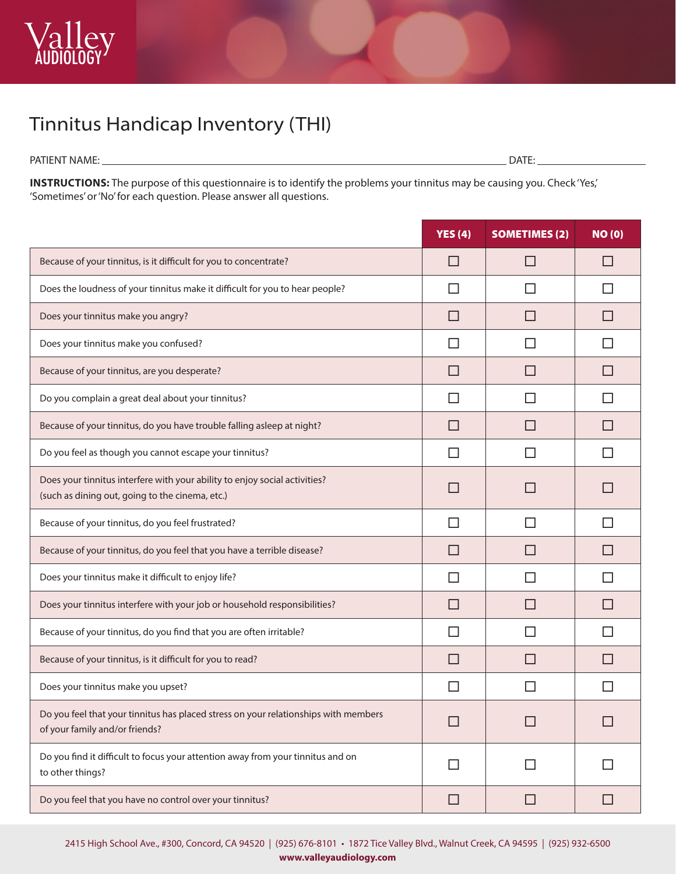## Tinnitus Handicap Inventory (THI)

PATIENT NAME: DATE:

**INSTRUCTIONS:** The purpose of this questionnaire is to identify the problems your tinnitus may be causing you. Check 'Yes,' 'Sometimes' or 'No' for each question. Please answer all questions.

|                                                                                                                               | YES $(4)$    | <b>SOMETIMES (2)</b>     | NO(0)        |
|-------------------------------------------------------------------------------------------------------------------------------|--------------|--------------------------|--------------|
| Because of your tinnitus, is it difficult for you to concentrate?                                                             | $\mathsf{L}$ | П                        | П            |
| Does the loudness of your tinnitus make it difficult for you to hear people?                                                  | ΙI           | $\mathsf{L}$             | ΙI           |
| Does your tinnitus make you angry?                                                                                            | $\mathsf{L}$ | П                        | $\mathsf{L}$ |
| Does your tinnitus make you confused?                                                                                         | ΙI           | $\mathsf{L}$             | $\mathsf{L}$ |
| Because of your tinnitus, are you desperate?                                                                                  | $\mathsf{L}$ | $\mathsf{L}$             | $\mathsf{L}$ |
| Do you complain a great deal about your tinnitus?                                                                             | ΙI           | ΙI                       | $\mathsf{L}$ |
| Because of your tinnitus, do you have trouble falling asleep at night?                                                        | $\Box$       | П                        | $\Box$       |
| Do you feel as though you cannot escape your tinnitus?                                                                        | П            | $\mathsf{L}$             | H            |
| Does your tinnitus interfere with your ability to enjoy social activities?<br>(such as dining out, going to the cinema, etc.) |              |                          | $\Box$       |
| Because of your tinnitus, do you feel frustrated?                                                                             | ΙI           | $\mathsf{L}$             | $\mathsf{L}$ |
| Because of your tinnitus, do you feel that you have a terrible disease?                                                       | $\mathsf{L}$ | $\mathsf{L}$             | $\Box$       |
| Does your tinnitus make it difficult to enjoy life?                                                                           | ΙI           | $\mathsf{L}$             | $\mathsf{L}$ |
| Does your tinnitus interfere with your job or household responsibilities?                                                     | $\Box$       | $\overline{\phantom{0}}$ | $\Box$       |
| Because of your tinnitus, do you find that you are often irritable?                                                           | П            | $\mathsf{L}$             | $\mathsf{L}$ |
| Because of your tinnitus, is it difficult for you to read?                                                                    | $\mathsf{L}$ | $\mathsf{L}$             | $\mathsf{L}$ |
| Does your tinnitus make you upset?                                                                                            | ΙI           | ΙI                       | П            |
| Do you feel that your tinnitus has placed stress on your relationships with members<br>of your family and/or friends?         |              |                          |              |
| Do you find it difficult to focus your attention away from your tinnitus and on<br>to other things?                           | $\Box$       | $\mathsf{L}$             | ΙI           |
| Do you feel that you have no control over your tinnitus?                                                                      | □            | □                        | □            |